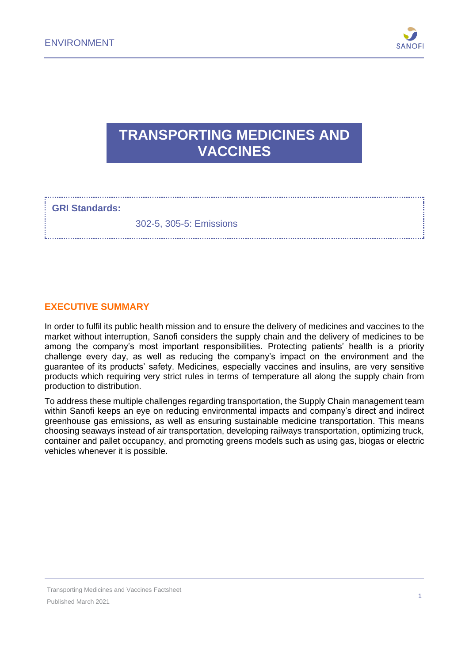

# **TRANSPORTING MEDICINES AND VACCINES**

#### **GRI Standards:**

302-5, 305-5: Emissions

#### **EXECUTIVE SUMMARY**

In order to fulfil its public health mission and to ensure the delivery of medicines and vaccines to the market without interruption, Sanofi considers the supply chain and the delivery of medicines to be among the company's most important responsibilities. Protecting patients' health is a priority challenge every day, as well as reducing the company's impact on the environment and the guarantee of its products' safety. Medicines, especially vaccines and insulins, are very sensitive products which requiring very strict rules in terms of temperature all along the supply chain from production to distribution.

To address these multiple challenges regarding transportation, the Supply Chain management team within Sanofi keeps an eye on reducing environmental impacts and company's direct and indirect greenhouse gas emissions, as well as ensuring sustainable medicine transportation. This means choosing seaways instead of air transportation, developing railways transportation, optimizing truck, container and pallet occupancy, and promoting greens models such as using gas, biogas or electric vehicles whenever it is possible.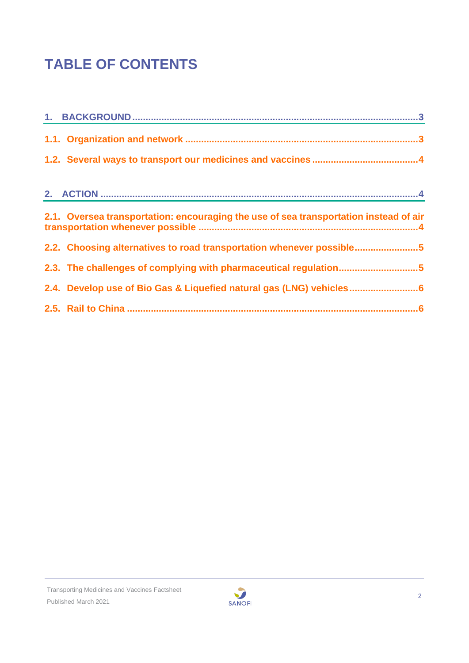# **TABLE OF CONTENTS**

| 2.1. Oversea transportation: encouraging the use of sea transportation instead of air |  |
|---------------------------------------------------------------------------------------|--|
| 2.2. Choosing alternatives to road transportation whenever possible5                  |  |
| 2.3. The challenges of complying with pharmaceutical regulation5                      |  |
| 2.4. Develop use of Bio Gas & Liquefied natural gas (LNG) vehicles6                   |  |
|                                                                                       |  |

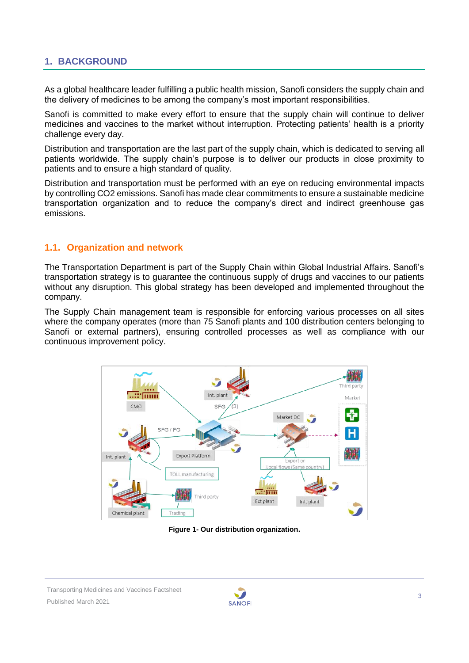## <span id="page-2-0"></span>**1. BACKGROUND**

As a global healthcare leader fulfilling a public health mission, Sanofi considers the supply chain and the delivery of medicines to be among the company's most important responsibilities.

Sanofi is committed to make every effort to ensure that the supply chain will continue to deliver medicines and vaccines to the market without interruption. Protecting patients' health is a priority challenge every day.

Distribution and transportation are the last part of the supply chain, which is dedicated to serving all patients worldwide. The supply chain's purpose is to deliver our products in close proximity to patients and to ensure a high standard of quality.

Distribution and transportation must be performed with an eye on reducing environmental impacts by controlling CO2 emissions. Sanofi has made clear commitments to ensure a sustainable medicine transportation organization and to reduce the company's direct and indirect greenhouse gas emissions.

#### <span id="page-2-1"></span>**1.1. Organization and network**

The Transportation Department is part of the Supply Chain within Global Industrial Affairs. Sanofi's transportation strategy is to guarantee the continuous supply of drugs and vaccines to our patients without any disruption. This global strategy has been developed and implemented throughout the company.

The Supply Chain management team is responsible for enforcing various processes on all sites where the company operates (more than 75 Sanofi plants and 100 distribution centers belonging to Sanofi or external partners), ensuring controlled processes as well as compliance with our continuous improvement policy.



**Figure 1- Our distribution organization.**

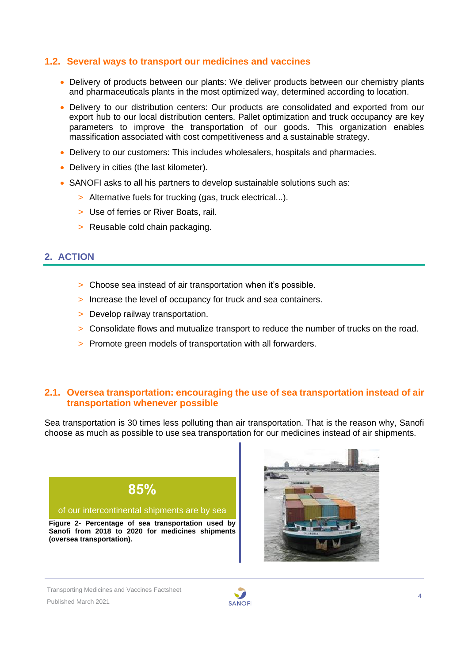#### <span id="page-3-0"></span>**1.2. Several ways to transport our medicines and vaccines**

- Delivery of products between our plants: We deliver products between our chemistry plants and pharmaceuticals plants in the most optimized way, determined according to location.
- Delivery to our distribution centers: Our products are consolidated and exported from our export hub to our local distribution centers. Pallet optimization and truck occupancy are key parameters to improve the transportation of our goods. This organization enables massification associated with cost competitiveness and a sustainable strategy.
- Delivery to our customers: This includes wholesalers, hospitals and pharmacies.
- Delivery in cities (the last kilometer).
- SANOFI asks to all his partners to develop sustainable solutions such as:
	- > Alternative fuels for trucking (gas, truck electrical...).
	- > Use of ferries or River Boats, rail.
	- > Reusable cold chain packaging.

## <span id="page-3-1"></span>**2. ACTION**

- > Choose sea instead of air transportation when it's possible.
- > Increase the level of occupancy for truck and sea containers.
- > Develop railway transportation.
- > Consolidate flows and mutualize transport to reduce the number of trucks on the road.
- > Promote green models of transportation with all forwarders.

#### <span id="page-3-2"></span>**2.1. Oversea transportation: encouraging the use of sea transportation instead of air transportation whenever possible**

Sea transportation is 30 times less polluting than air transportation. That is the reason why, Sanofi choose as much as possible to use sea transportation for our medicines instead of air shipments.





Transporting Medicines and Vaccines Factsheet

Published March 2021

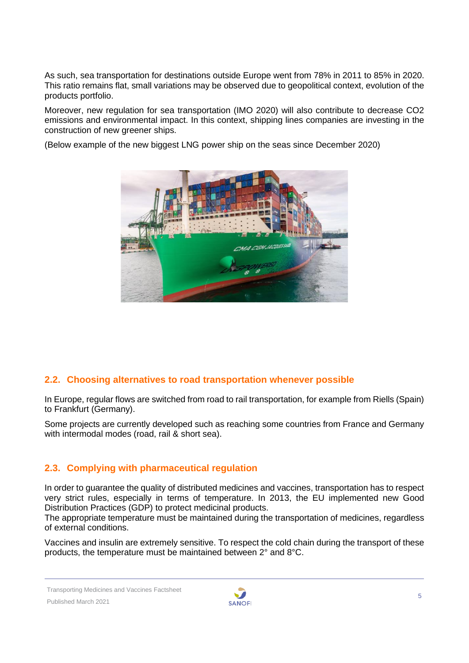As such, sea transportation for destinations outside Europe went from 78% in 2011 to 85% in 2020. This ratio remains flat, small variations may be observed due to geopolitical context, evolution of the products portfolio.

Moreover, new regulation for sea transportation (IMO 2020) will also contribute to decrease CO2 emissions and environmental impact. In this context, shipping lines companies are investing in the construction of new greener ships.

(Below example of the new biggest LNG power ship on the seas since December 2020)



# <span id="page-4-0"></span>**2.2. Choosing alternatives to road transportation whenever possible**

In Europe, regular flows are switched from road to rail transportation, for example from Riells (Spain) to Frankfurt (Germany).

Some projects are currently developed such as reaching some countries from France and Germany with intermodal modes (road, rail & short sea).

# <span id="page-4-1"></span>**2.3. Complying with pharmaceutical regulation**

In order to guarantee the quality of distributed medicines and vaccines, transportation has to respect very strict rules, especially in terms of temperature. In 2013, the EU implemented new Good Distribution Practices (GDP) to protect medicinal products.

The appropriate temperature must be maintained during the transportation of medicines, regardless of external conditions.

Vaccines and insulin are extremely sensitive. To respect the cold chain during the transport of these products, the temperature must be maintained between 2° and 8°C.

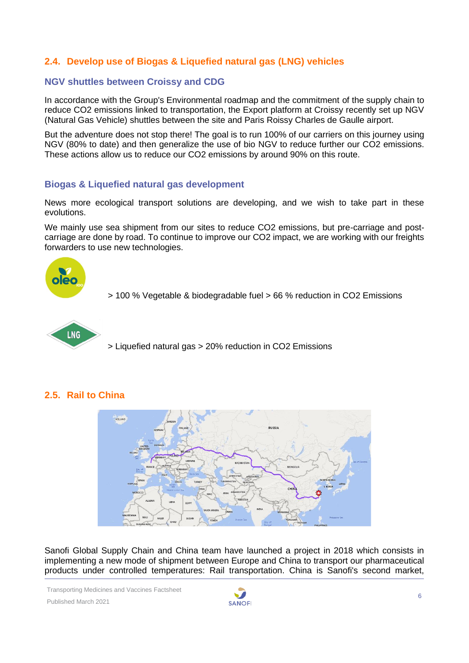# <span id="page-5-0"></span>**2.4. Develop use of Biogas & Liquefied natural gas (LNG) vehicles**

#### **NGV shuttles between Croissy and CDG**

In accordance with the Group's Environmental roadmap and the commitment of the supply chain to reduce CO2 emissions linked to transportation, the Export platform at Croissy recently set up NGV (Natural Gas Vehicle) shuttles between the site and Paris Roissy Charles de Gaulle airport.

But the adventure does not stop there! The goal is to run 100% of our carriers on this journey using NGV (80% to date) and then generalize the use of bio NGV to reduce further our CO2 emissions. These actions allow us to reduce our CO2 emissions by around 90% on this route.

#### **Biogas & Liquefied natural gas development**

News more ecological transport solutions are developing, and we wish to take part in these evolutions.

We mainly use sea shipment from our sites to reduce CO2 emissions, but pre-carriage and postcarriage are done by road. To continue to improve our CO2 impact, we are working with our freights forwarders to use new technologies.



> 100 % Vegetable & biodegradable fuel > 66 % reduction in CO2 Emissions





# <span id="page-5-1"></span>**2.5. Rail to China**

Sanofi Global Supply Chain and China team have launched a project in 2018 which consists in implementing a new mode of shipment between Europe and China to transport our pharmaceutical products under controlled temperatures: Rail transportation. China is Sanofi's second market,

Transporting Medicines and Vaccines Factsheet Published March 2021